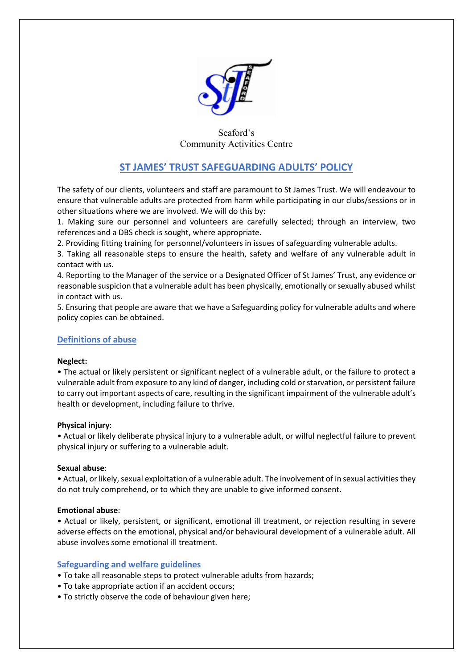

# Seaford's Community Activities Centre

# **ST JAMES' TRUST SAFEGUARDING ADULTS' POLICY**

The safety of our clients, volunteers and staff are paramount to St James Trust. We will endeavour to ensure that vulnerable adults are protected from harm while participating in our clubs/sessions or in other situations where we are involved. We will do this by:

1. Making sure our personnel and volunteers are carefully selected; through an interview, two references and a DBS check is sought, where appropriate.

2. Providing fitting training for personnel/volunteers in issues of safeguarding vulnerable adults.

3. Taking all reasonable steps to ensure the health, safety and welfare of any vulnerable adult in contact with us.

4. Reporting to the Manager of the service or a Designated Officer of St James' Trust, any evidence or reasonable suspicion that a vulnerable adult has been physically, emotionally or sexually abused whilst in contact with us.

5. Ensuring that people are aware that we have a Safeguarding policy for vulnerable adults and where policy copies can be obtained.

## **Definitions of abuse**

## **Neglect:**

• The actual or likely persistent or significant neglect of a vulnerable adult, or the failure to protect a vulnerable adult from exposure to any kind of danger, including cold or starvation, or persistent failure to carry out important aspects of care, resulting in the significant impairment of the vulnerable adult's health or development, including failure to thrive.

## **Physical injury**:

• Actual or likely deliberate physical injury to a vulnerable adult, or wilful neglectful failure to prevent physical injury or suffering to a vulnerable adult.

#### **Sexual abuse**:

• Actual, or likely, sexual exploitation of a vulnerable adult. The involvement of in sexual activities they do not truly comprehend, or to which they are unable to give informed consent.

## **Emotional abuse**:

• Actual or likely, persistent, or significant, emotional ill treatment, or rejection resulting in severe adverse effects on the emotional, physical and/or behavioural development of a vulnerable adult. All abuse involves some emotional ill treatment.

## **Safeguarding and welfare guidelines**

- To take all reasonable steps to protect vulnerable adults from hazards;
- To take appropriate action if an accident occurs;
- To strictly observe the code of behaviour given here;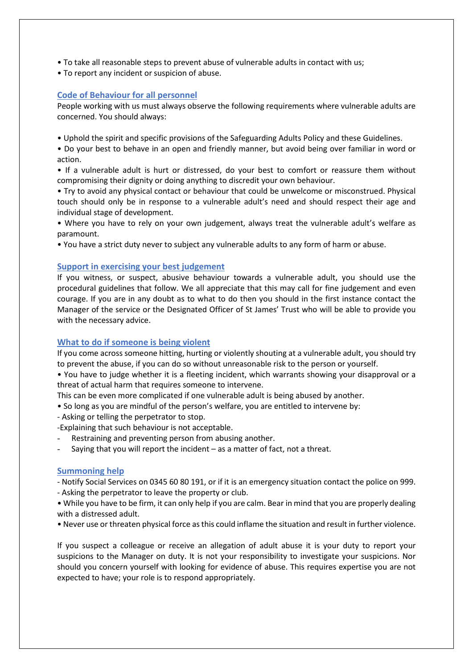- To take all reasonable steps to prevent abuse of vulnerable adults in contact with us;
- To report any incident or suspicion of abuse.

## **Code of Behaviour for all personnel**

People working with us must always observe the following requirements where vulnerable adults are concerned. You should always:

• Uphold the spirit and specific provisions of the Safeguarding Adults Policy and these Guidelines.

• Do your best to behave in an open and friendly manner, but avoid being over familiar in word or action.

• If a vulnerable adult is hurt or distressed, do your best to comfort or reassure them without compromising their dignity or doing anything to discredit your own behaviour.

• Try to avoid any physical contact or behaviour that could be unwelcome or misconstrued. Physical touch should only be in response to a vulnerable adult's need and should respect their age and individual stage of development.

• Where you have to rely on your own judgement, always treat the vulnerable adult's welfare as paramount.

• You have a strict duty never to subject any vulnerable adults to any form of harm or abuse.

#### **Support in exercising your best judgement**

If you witness, or suspect, abusive behaviour towards a vulnerable adult, you should use the procedural guidelines that follow. We all appreciate that this may call for fine judgement and even courage. If you are in any doubt as to what to do then you should in the first instance contact the Manager of the service or the Designated Officer of St James' Trust who will be able to provide you with the necessary advice.

## **What to do if someone is being violent**

If you come across someone hitting, hurting or violently shouting at a vulnerable adult, you should try to prevent the abuse, if you can do so without unreasonable risk to the person or yourself.

• You have to judge whether it is a fleeting incident, which warrants showing your disapproval or a threat of actual harm that requires someone to intervene.

This can be even more complicated if one vulnerable adult is being abused by another.

- So long as you are mindful of the person's welfare, you are entitled to intervene by:
- Asking or telling the perpetrator to stop.
- -Explaining that such behaviour is not acceptable.
- Restraining and preventing person from abusing another.
- Saying that you will report the incident  $-$  as a matter of fact, not a threat.

## **Summoning help**

- Notify Social Services on 0345 60 80 191, or if it is an emergency situation contact the police on 999.
- Asking the perpetrator to leave the property or club.
- While you have to be firm, it can only help if you are calm. Bear in mind that you are properly dealing with a distressed adult.
- Never use or threaten physical force as this could inflame the situation and result in further violence.

If you suspect a colleague or receive an allegation of adult abuse it is your duty to report your suspicions to the Manager on duty. It is not your responsibility to investigate your suspicions. Nor should you concern yourself with looking for evidence of abuse. This requires expertise you are not expected to have; your role is to respond appropriately.